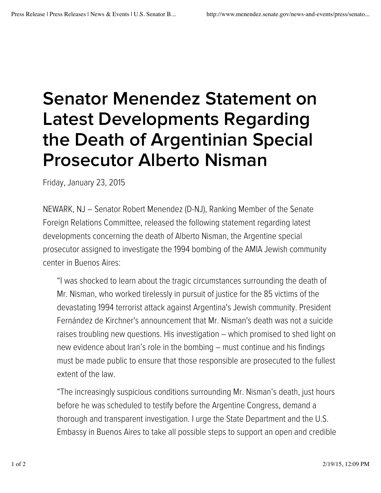## Senator Menendez Statement on Latest Developments Regarding the Death of Argentinian Special Prosecutor Alberto Nisman

Friday, January 23, 2015

NEWARK, NJ – Senator Robert Menendez (D-NJ), Ranking Member of the Senate Foreign Relations Committee, released the following statement regarding latest developments concerning the death of Alberto Nisman, the Argentine special prosecutor assigned to investigate the 1994 bombing of the AMIA Jewish community center in Buenos Aires:

"I was shocked to learn about the tragic circumstances surrounding the death of Mr. Nisman, who worked tirelessly in pursuit of justice for the 85 victims of the devastating 1994 terrorist attack against Argentina's Jewish community. President Fernández de Kirchner's announcement that Mr. Nisman's death was not a suicide raises troubling new questions. His investigation – which promised to shed light on new evidence about Iran's role in the bombing – must continue and his findings must be made public to ensure that those responsible are prosecuted to the fullest extent of the law.

"The increasingly suspicious conditions surrounding Mr. Nisman's death, just hours before he was scheduled to testify before the Argentine Congress, demand a thorough and transparent investigation. I urge the State Department and the U.S. Embassy in Buenos Aires to take all possible steps to support an open and credible